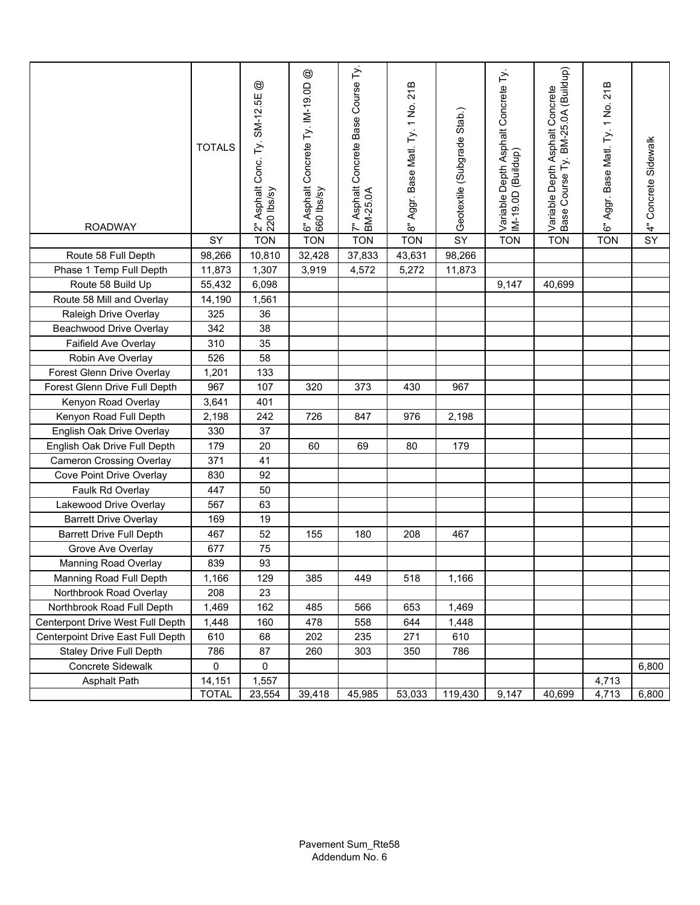| <b>ROADWAY</b>                    | <b>TOTALS</b> | $^{\circledR}$<br>2" Asphalt Conc. Ty. SM-12.5E<br>220 lbs/sy | $^{\circledR}$<br>6" Asphalt Concrete Ty. IM-19.0D<br>660 Ibs/sy | 7" Asphalt Concrete Base Course Ty.<br>BM-25.0A | 8" Aggr. Base Matl. Ty. 1 No. 21B | Geotextile (Subgrade Stab.) | Variable Depth Asphalt Concrete Ty.<br>IM-19.0D (Buildup) | BM-25.0A (Buildup)<br>Variable Depth Asphalt Concrete<br>Base Course Ty. | 6" Aggr. Base Matl. Ty. 1 No. 21B | 4" Concrete Sidewalk |
|-----------------------------------|---------------|---------------------------------------------------------------|------------------------------------------------------------------|-------------------------------------------------|-----------------------------------|-----------------------------|-----------------------------------------------------------|--------------------------------------------------------------------------|-----------------------------------|----------------------|
|                                   | SY            | <b>TON</b>                                                    | <b>TON</b>                                                       | <b>TON</b>                                      | <b>TON</b>                        | SY                          | <b>TON</b>                                                | <b>TON</b>                                                               | <b>TON</b>                        | SY                   |
| Route 58 Full Depth               | 98,266        | 10,810                                                        | 32,428                                                           | 37,833                                          | 43,631                            | 98,266                      |                                                           |                                                                          |                                   |                      |
| Phase 1 Temp Full Depth           | 11,873        | 1,307                                                         | 3,919                                                            | 4,572                                           | 5,272                             | 11,873                      |                                                           |                                                                          |                                   |                      |
| Route 58 Build Up                 | 55,432        | 6,098                                                         |                                                                  |                                                 |                                   |                             | 9,147                                                     | 40,699                                                                   |                                   |                      |
| Route 58 Mill and Overlay         | 14,190        | 1,561                                                         |                                                                  |                                                 |                                   |                             |                                                           |                                                                          |                                   |                      |
| Raleigh Drive Overlay             | 325           | 36                                                            |                                                                  |                                                 |                                   |                             |                                                           |                                                                          |                                   |                      |
| <b>Beachwood Drive Overlay</b>    | 342           | 38                                                            |                                                                  |                                                 |                                   |                             |                                                           |                                                                          |                                   |                      |
| Faifield Ave Overlay              | 310           | 35                                                            |                                                                  |                                                 |                                   |                             |                                                           |                                                                          |                                   |                      |
| Robin Ave Overlay                 | 526           | 58                                                            |                                                                  |                                                 |                                   |                             |                                                           |                                                                          |                                   |                      |
| Forest Glenn Drive Overlay        | 1,201         | 133                                                           |                                                                  |                                                 |                                   |                             |                                                           |                                                                          |                                   |                      |
| Forest Glenn Drive Full Depth     | 967           | 107                                                           | 320                                                              | 373                                             | 430                               | 967                         |                                                           |                                                                          |                                   |                      |
| Kenyon Road Overlay               | 3,641         | 401                                                           |                                                                  |                                                 |                                   |                             |                                                           |                                                                          |                                   |                      |
| Kenyon Road Full Depth            | 2,198         | 242                                                           | 726                                                              | 847                                             | 976                               | 2,198                       |                                                           |                                                                          |                                   |                      |
| English Oak Drive Overlay         | 330           | 37                                                            |                                                                  |                                                 |                                   |                             |                                                           |                                                                          |                                   |                      |
| English Oak Drive Full Depth      | 179           | 20                                                            | 60                                                               | 69                                              | 80                                | 179                         |                                                           |                                                                          |                                   |                      |
| <b>Cameron Crossing Overlay</b>   | 371           | 41                                                            |                                                                  |                                                 |                                   |                             |                                                           |                                                                          |                                   |                      |
| Cove Point Drive Overlay          | 830           | 92                                                            |                                                                  |                                                 |                                   |                             |                                                           |                                                                          |                                   |                      |
| Faulk Rd Overlay                  | 447           | 50                                                            |                                                                  |                                                 |                                   |                             |                                                           |                                                                          |                                   |                      |
| Lakewood Drive Overlay            | 567           | 63                                                            |                                                                  |                                                 |                                   |                             |                                                           |                                                                          |                                   |                      |
| <b>Barrett Drive Overlay</b>      | 169           | 19                                                            |                                                                  |                                                 |                                   |                             |                                                           |                                                                          |                                   |                      |
| <b>Barrett Drive Full Depth</b>   | 467           | 52                                                            | 155                                                              | 180                                             | 208                               | 467                         |                                                           |                                                                          |                                   |                      |
| Grove Ave Overlay                 | 677           | 75                                                            |                                                                  |                                                 |                                   |                             |                                                           |                                                                          |                                   |                      |
| Manning Road Overlay              | 839           | 93                                                            |                                                                  |                                                 |                                   |                             |                                                           |                                                                          |                                   |                      |
| Manning Road Full Depth           | 1,166         | 129                                                           | 385                                                              | 449                                             | 518                               | 1,166                       |                                                           |                                                                          |                                   |                      |
| Northbrook Road Overlay           | 208           | 23                                                            |                                                                  |                                                 |                                   |                             |                                                           |                                                                          |                                   |                      |
| Northbrook Road Full Depth        | 1,469         | 162                                                           | 485                                                              | 566                                             | 653                               | 1,469                       |                                                           |                                                                          |                                   |                      |
| Centerpont Drive West Full Depth  | 1,448         | 160                                                           | 478                                                              | 558                                             | 644                               | 1,448                       |                                                           |                                                                          |                                   |                      |
| Centerpoint Drive East Full Depth | 610           | 68                                                            | 202                                                              | 235                                             | 271                               | 610                         |                                                           |                                                                          |                                   |                      |
| <b>Staley Drive Full Depth</b>    | 786           | 87                                                            | 260                                                              | 303                                             | 350                               | 786                         |                                                           |                                                                          |                                   |                      |
| Concrete Sidewalk                 | 0             | 0                                                             |                                                                  |                                                 |                                   |                             |                                                           |                                                                          |                                   | 6,800                |
| Asphalt Path                      | 14,151        | 1,557                                                         |                                                                  |                                                 |                                   |                             |                                                           |                                                                          | 4,713                             |                      |
|                                   | <b>TOTAL</b>  | 23,554                                                        | 39,418                                                           | 45,985                                          | 53,033                            | 119,430                     | 9,147                                                     | 40,699                                                                   | 4,713                             | 6,800                |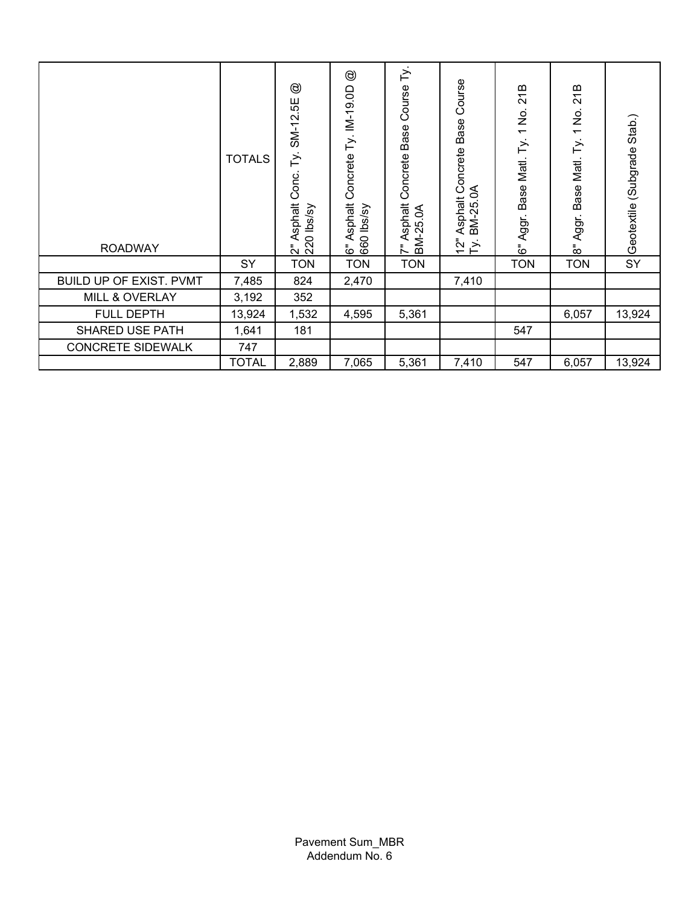| <b>ROADWAY</b>                 | <b>TOTALS</b> | $^{\circledR}$<br>55<br>SM-12.<br>F<br>Conc.<br>sphalt<br>0 lbs/sy<br>⋖<br>ั้ง &ิ | $^{\circledR}$<br>$Ty. IN-19.0D$<br>Concrete<br>Asphalt<br>660 lbs/sy<br>قً | $\stackrel{\textstyle >}{\textstyle \sim}$<br>Course<br><b>Base</b><br>Concrete<br>sphalt<br>ξ<br>$-25$<br>∢<br>ВŃ<br>ミ | Course<br>Base<br>Asphalt Concrete<br>BM-25.0A<br>$\frac{5}{2}$<br>$\geq$ | 21B<br>1 No.<br>F<br>Base Matl.<br>Aggr.<br>ۊ | 21B<br>$\frac{\dot{\mathsf{S}}}{{\mathsf{S}}}$<br>$\overline{\phantom{0}}$<br>F<br>Matl.<br>Base<br>Aggr.<br>$\bar{5}$ | Stab.)<br>(Subgrade<br>Geotextile |
|--------------------------------|---------------|-----------------------------------------------------------------------------------|-----------------------------------------------------------------------------|-------------------------------------------------------------------------------------------------------------------------|---------------------------------------------------------------------------|-----------------------------------------------|------------------------------------------------------------------------------------------------------------------------|-----------------------------------|
|                                | SY            | <b>TON</b>                                                                        | <b>TON</b>                                                                  | <b>TON</b>                                                                                                              |                                                                           | <b>TON</b>                                    | <b>TON</b>                                                                                                             | SY                                |
| <b>BUILD UP OF EXIST. PVMT</b> | 7,485         | 824                                                                               | 2,470                                                                       |                                                                                                                         | 7,410                                                                     |                                               |                                                                                                                        |                                   |
| MILL & OVERLAY                 | 3,192         | 352                                                                               |                                                                             |                                                                                                                         |                                                                           |                                               |                                                                                                                        |                                   |
| <b>FULL DEPTH</b>              | 13,924        | 1,532                                                                             | 4,595                                                                       | 5,361                                                                                                                   |                                                                           |                                               | 6,057                                                                                                                  | 13,924                            |
| <b>SHARED USE PATH</b>         | 1,641         | 181                                                                               |                                                                             |                                                                                                                         |                                                                           | 547                                           |                                                                                                                        |                                   |
| <b>CONCRETE SIDEWALK</b>       | 747           |                                                                                   |                                                                             |                                                                                                                         |                                                                           |                                               |                                                                                                                        |                                   |
|                                | <b>TOTAL</b>  | 2,889                                                                             | 7,065                                                                       | 5,361                                                                                                                   | 7,410                                                                     | 547                                           | 6,057                                                                                                                  | 13,924                            |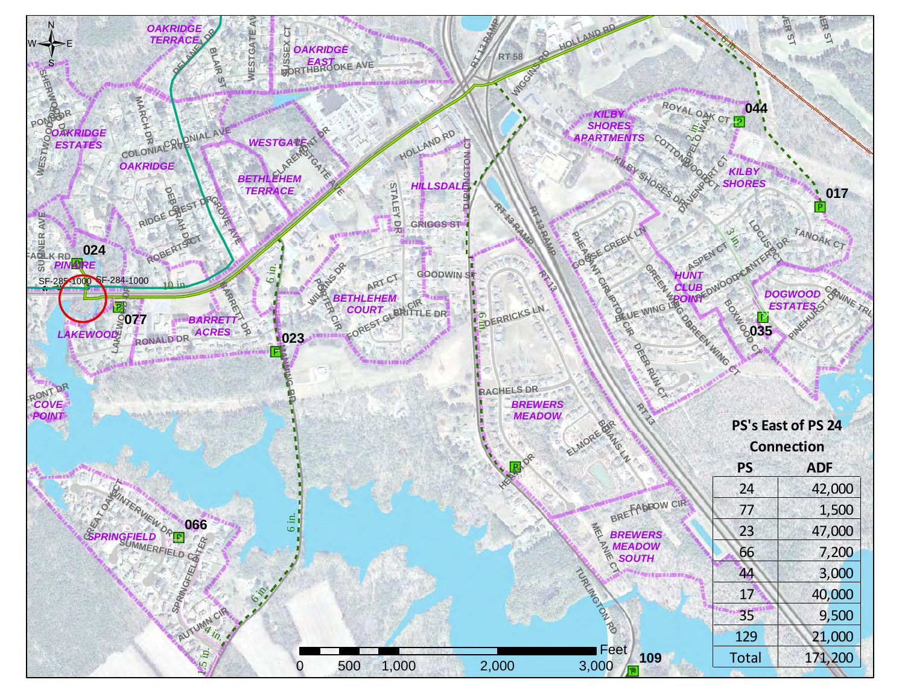